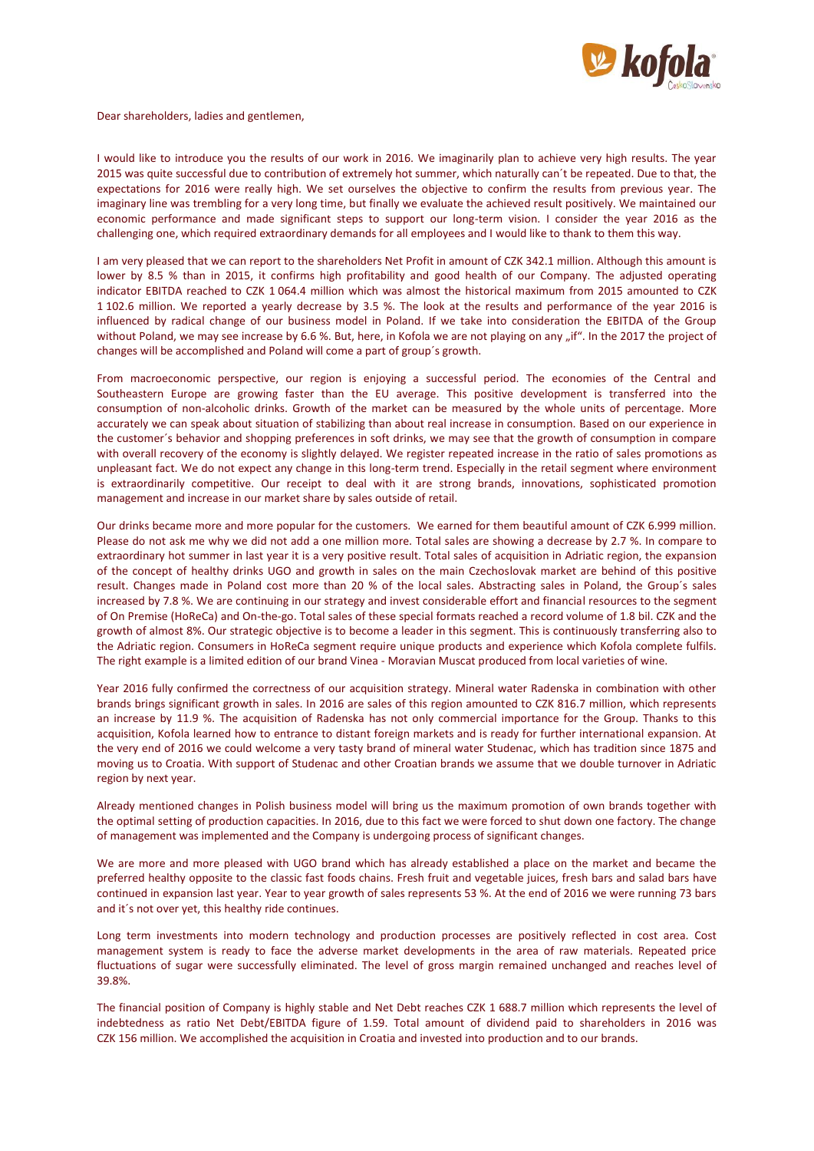

Dear shareholders, ladies and gentlemen,

I would like to introduce you the results of our work in 2016. We imaginarily plan to achieve very high results. The year 2015 was quite successful due to contribution of extremely hot summer, which naturally can´t be repeated. Due to that, the expectations for 2016 were really high. We set ourselves the objective to confirm the results from previous year. The imaginary line was trembling for a very long time, but finally we evaluate the achieved result positively. We maintained our economic performance and made significant steps to support our long-term vision. I consider the year 2016 as the challenging one, which required extraordinary demands for all employees and I would like to thank to them this way.

I am very pleased that we can report to the shareholders Net Profit in amount of CZK 342.1 million. Although this amount is lower by 8.5 % than in 2015, it confirms high profitability and good health of our Company. The adjusted operating indicator EBITDA reached to CZK 1 064.4 million which was almost the historical maximum from 2015 amounted to CZK 1 102.6 million. We reported a yearly decrease by 3.5 %. The look at the results and performance of the year 2016 is influenced by radical change of our business model in Poland. If we take into consideration the EBITDA of the Group without Poland, we may see increase by 6.6 %. But, here, in Kofola we are not playing on any "if". In the 2017 the project of changes will be accomplished and Poland will come a part of group´s growth.

From macroeconomic perspective, our region is enjoying a successful period. The economies of the Central and Southeastern Europe are growing faster than the EU average. This positive development is transferred into the consumption of non-alcoholic drinks. Growth of the market can be measured by the whole units of percentage. More accurately we can speak about situation of stabilizing than about real increase in consumption. Based on our experience in the customer´s behavior and shopping preferences in soft drinks, we may see that the growth of consumption in compare with overall recovery of the economy is slightly delayed. We register repeated increase in the ratio of sales promotions as unpleasant fact. We do not expect any change in this long-term trend. Especially in the retail segment where environment is extraordinarily competitive. Our receipt to deal with it are strong brands, innovations, sophisticated promotion management and increase in our market share by sales outside of retail.

Our drinks became more and more popular for the customers. We earned for them beautiful amount of CZK 6.999 million. Please do not ask me why we did not add a one million more. Total sales are showing a decrease by 2.7 %. In compare to extraordinary hot summer in last year it is a very positive result. Total sales of acquisition in Adriatic region, the expansion of the concept of healthy drinks UGO and growth in sales on the main Czechoslovak market are behind of this positive result. Changes made in Poland cost more than 20 % of the local sales. Abstracting sales in Poland, the Group´s sales increased by 7.8 %. We are continuing in our strategy and invest considerable effort and financial resources to the segment of On Premise (HoReCa) and On-the-go. Total sales of these special formats reached a record volume of 1.8 bil. CZK and the growth of almost 8%. Our strategic objective is to become a leader in this segment. This is continuously transferring also to the Adriatic region. Consumers in HoReCa segment require unique products and experience which Kofola complete fulfils. The right example is a limited edition of our brand Vinea - Moravian Muscat produced from local varieties of wine.

Year 2016 fully confirmed the correctness of our acquisition strategy. Mineral water Radenska in combination with other brands brings significant growth in sales. In 2016 are sales of this region amounted to CZK 816.7 million, which represents an increase by 11.9 %. The acquisition of Radenska has not only commercial importance for the Group. Thanks to this acquisition, Kofola learned how to entrance to distant foreign markets and is ready for further international expansion. At the very end of 2016 we could welcome a very tasty brand of mineral water Studenac, which has tradition since 1875 and moving us to Croatia. With support of Studenac and other Croatian brands we assume that we double turnover in Adriatic region by next year.

Already mentioned changes in Polish business model will bring us the maximum promotion of own brands together with the optimal setting of production capacities. In 2016, due to this fact we were forced to shut down one factory. The change of management was implemented and the Company is undergoing process of significant changes.

We are more and more pleased with UGO brand which has already established a place on the market and became the preferred healthy opposite to the classic fast foods chains. Fresh fruit and vegetable juices, fresh bars and salad bars have continued in expansion last year. Year to year growth of sales represents 53 %. At the end of 2016 we were running 73 bars and it´s not over yet, this healthy ride continues.

Long term investments into modern technology and production processes are positively reflected in cost area. Cost management system is ready to face the adverse market developments in the area of raw materials. Repeated price fluctuations of sugar were successfully eliminated. The level of gross margin remained unchanged and reaches level of 39.8%.

The financial position of Company is highly stable and Net Debt reaches CZK 1 688.7 million which represents the level of indebtedness as ratio Net Debt/EBITDA figure of 1.59. Total amount of dividend paid to shareholders in 2016 was CZK 156 million. We accomplished the acquisition in Croatia and invested into production and to our brands.